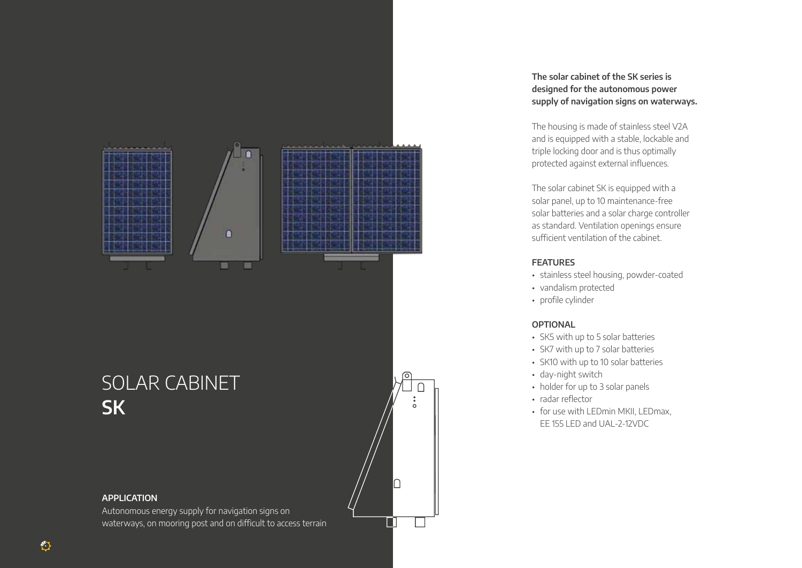

# SOLAR CABINET **SK**

#### **APPLICATION**

Autonomous energy supply for navigation signs on waterways, on mooring post and on difficult to access terrain

### **The solar cabinet of the SK series is designed for the autonomous power supply of navigation signs on waterways.**

The housing is made of stainless steel V2A and is equipped with a stable, lockable and triple locking door and is thus optimally protected against external influences.

The solar cabinet SK is equipped with a solar panel, up to 10 maintenance-free solar batteries and a solar charge controller as standard. Ventilation openings ensure sufficient ventilation of the cabinet.

#### **FEATURES**

- stainless steel housing, powder-coated
- vandalism protected
- profile cylinder

#### **OPTIONAL**

- SK5 with up to 5 solar batteries
- SK7 with up to 7 solar batteries
- SK10 with up to 10 solar batteries
- day-night switch
- holder for up to 3 solar panels
- radar reflector

း

∩

• for use with LEDmin MKII, LEDmax, EE 155 LED and UAL-2-12VDC